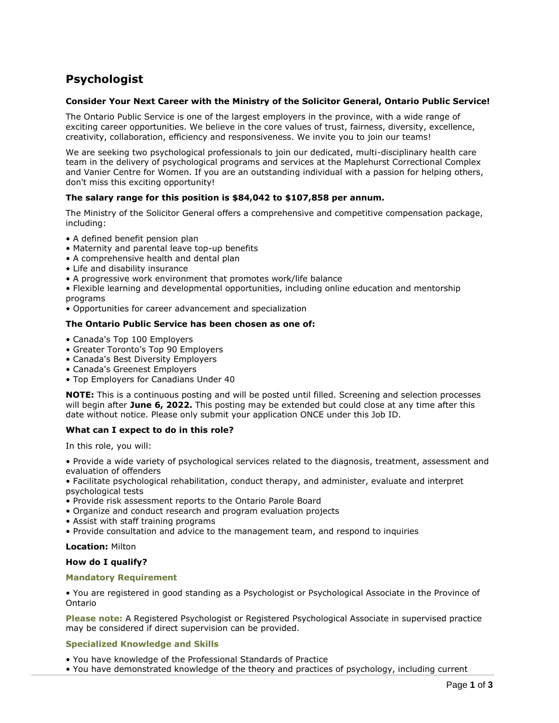# **Psychologist**

# **Consider Your Next Career with the Ministry of the Solicitor General, Ontario Public Service!**

The Ontario Public Service is one of the largest employers in the province, with a wide range of exciting career opportunities. We believe in the core values of trust, fairness, diversity, excellence, creativity, collaboration, efficiency and responsiveness. We invite you to join our teams!

We are seeking two psychological professionals to join our dedicated, multi-disciplinary health care team in the delivery of psychological programs and services at the Maplehurst Correctional Complex and Vanier Centre for Women. If you are an outstanding individual with a passion for helping others, don't miss this exciting opportunity!

# **The salary range for this position is \$84,042 to \$107,858 per annum.**

The Ministry of the Solicitor General offers a comprehensive and competitive compensation package, including:

- A defined benefit pension plan
- Maternity and parental leave top-up benefits
- A comprehensive health and dental plan
- Life and disability insurance
- A progressive work environment that promotes work/life balance

• Flexible learning and developmental opportunities, including online education and mentorship programs

• Opportunities for career advancement and specialization

# **The Ontario Public Service has been chosen as one of:**

- Canada's Top 100 Employers
- Greater Toronto's Top 90 Employers
- Canada's Best Diversity Employers
- Canada's Greenest Employers
- Top Employers for Canadians Under 40

**NOTE:** This is a continuous posting and will be posted until filled. Screening and selection processes will begin after **June 6, 2022.** This posting may be extended but could close at any time after this date without notice. Please only submit your application ONCE under this Job ID.

## **What can I expect to do in this role?**

In this role, you will:

• Provide a wide variety of psychological services related to the diagnosis, treatment, assessment and evaluation of offenders

• Facilitate psychological rehabilitation, conduct therapy, and administer, evaluate and interpret psychological tests

- Provide risk assessment reports to the Ontario Parole Board
- Organize and conduct research and program evaluation projects
- Assist with staff training programs
- Provide consultation and advice to the management team, and respond to inquiries

## **Location:** Milton

## **How do I qualify?**

## **Mandatory Requirement**

• You are registered in good standing as a Psychologist or Psychological Associate in the Province of Ontario

**Please note:** A Registered Psychologist or Registered Psychological Associate in supervised practice may be considered if direct supervision can be provided.

# **Specialized Knowledge and Skills**

- You have knowledge of the Professional Standards of Practice
- You have demonstrated knowledge of the theory and practices of psychology, including current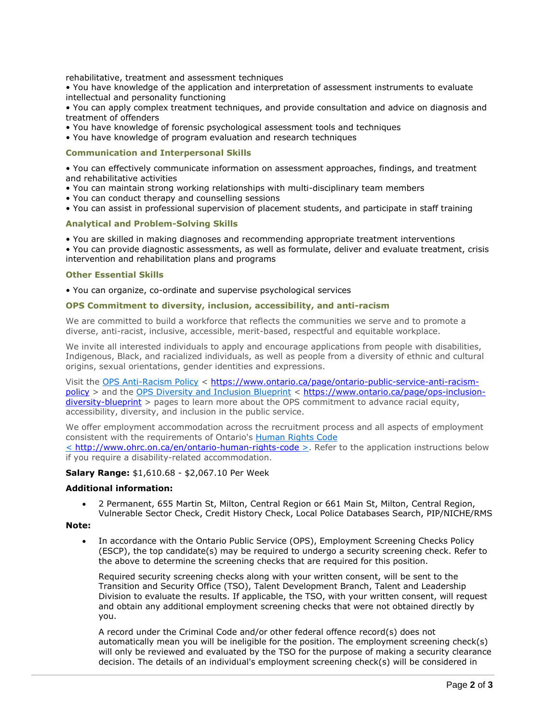rehabilitative, treatment and assessment techniques

• You have knowledge of the application and interpretation of assessment instruments to evaluate intellectual and personality functioning

• You can apply complex treatment techniques, and provide consultation and advice on diagnosis and treatment of offenders

- You have knowledge of forensic psychological assessment tools and techniques
- You have knowledge of program evaluation and research techniques

# **Communication and Interpersonal Skills**

• You can effectively communicate information on assessment approaches, findings, and treatment and rehabilitative activities

- You can maintain strong working relationships with multi-disciplinary team members
- You can conduct therapy and counselling sessions
- You can assist in professional supervision of placement students, and participate in staff training

## **Analytical and Problem-Solving Skills**

• You are skilled in making diagnoses and recommending appropriate treatment interventions

• You can provide diagnostic assessments, as well as formulate, deliver and evaluate treatment, crisis intervention and rehabilitation plans and programs

## **Other Essential Skills**

• You can organize, co-ordinate and supervise psychological services

# **OPS Commitment to diversity, inclusion, accessibility, and anti-racism**

We are committed to build a workforce that reflects the communities we serve and to promote a diverse, anti-racist, inclusive, accessible, merit-based, respectful and equitable workplace.

We invite all interested individuals to apply and encourage applications from people with disabilities, Indigenous, Black, and racialized individuals, as well as people from a diversity of ethnic and cultural origins, sexual orientations, gender identities and expressions.

Visit the [OPS Anti-Racism Policy](https://www.ontario.ca/page/ontario-public-service-anti-racism-policy) < [https://www.ontario.ca/page/ontario-public-service-anti-racism](https://www.ontario.ca/page/ontario-public-service-anti-racism-policy)[policy](https://www.ontario.ca/page/ontario-public-service-anti-racism-policy) > and the OPS Diversity [and Inclusion Blueprint](https://www.ontario.ca/page/ops-inclusion-diversity-blueprint) < [https://www.ontario.ca/page/ops-inclusion](https://www.ontario.ca/page/ops-inclusion-diversity-blueprint)[diversity-blueprint](https://www.ontario.ca/page/ops-inclusion-diversity-blueprint) > pages to learn more about the OPS commitment to advance racial equity, accessibility, diversity, and inclusion in the public service.

We offer employment accommodation across the recruitment process and all aspects of employment consistent with the requirements of Ontario's [Human Rights Code](http://www.ohrc.on.ca/en/ontario-human-rights-code) < <http://www.ohrc.on.ca/en/ontario-human-rights-code> >. Refer to the application instructions below if you require a disability-related accommodation.

## **Salary Range:** \$1,610.68 - \$2,067.10 Per Week

## **Additional information:**

• 2 Permanent, 655 Martin St, Milton, Central Region or 661 Main St, Milton, Central Region, Vulnerable Sector Check, Credit History Check, Local Police Databases Search, PIP/NICHE/RMS

## **Note:**

• In accordance with the Ontario Public Service (OPS), Employment Screening Checks Policy (ESCP), the top candidate(s) may be required to undergo a security screening check. Refer to the above to determine the screening checks that are required for this position.

Required security screening checks along with your written consent, will be sent to the Transition and Security Office (TSO), Talent Development Branch, Talent and Leadership Division to evaluate the results. If applicable, the TSO, with your written consent, will request and obtain any additional employment screening checks that were not obtained directly by you.

A record under the Criminal Code and/or other federal offence record(s) does not automatically mean you will be ineligible for the position. The employment screening check(s) will only be reviewed and evaluated by the TSO for the purpose of making a security clearance decision. The details of an individual's employment screening check(s) will be considered in